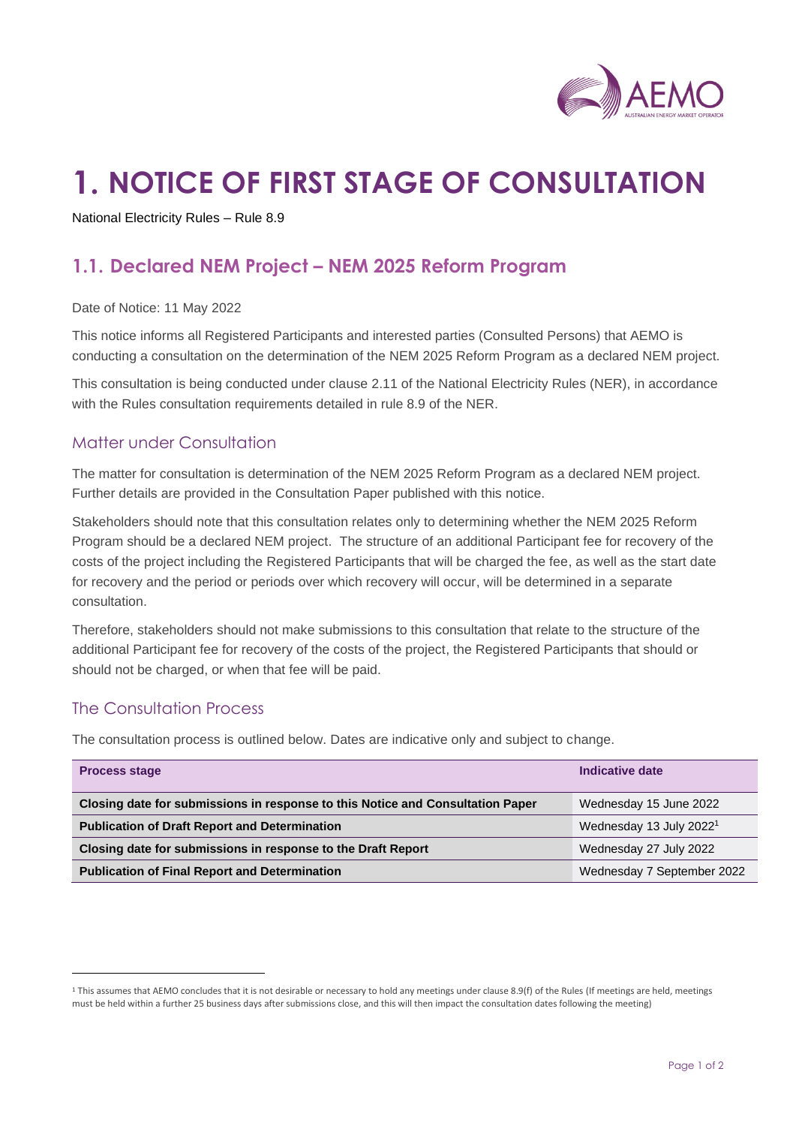

# **1. NOTICE OF FIRST STAGE OF CONSULTATION**

National Electricity Rules – Rule 8.9

## **1.1. Declared NEM Project – NEM 2025 Reform Program**

Date of Notice: 11 May 2022

This notice informs all Registered Participants and interested parties (Consulted Persons) that AEMO is conducting a consultation on the determination of the NEM 2025 Reform Program as a declared NEM project.

This consultation is being conducted under clause 2.11 of the National Electricity Rules (NER), in accordance with the Rules consultation requirements detailed in rule 8.9 of the NER.

#### Matter under Consultation

The matter for consultation is determination of the NEM 2025 Reform Program as a declared NEM project. Further details are provided in the Consultation Paper published with this notice.

Stakeholders should note that this consultation relates only to determining whether the NEM 2025 Reform Program should be a declared NEM project. The structure of an additional Participant fee for recovery of the costs of the project including the Registered Participants that will be charged the fee, as well as the start date for recovery and the period or periods over which recovery will occur, will be determined in a separate consultation.

Therefore, stakeholders should not make submissions to this consultation that relate to the structure of the additional Participant fee for recovery of the costs of the project, the Registered Participants that should or should not be charged, or when that fee will be paid.

#### The Consultation Process

The consultation process is outlined below. Dates are indicative only and subject to change.

| <b>Process stage</b>                                                           | Indicative date                     |
|--------------------------------------------------------------------------------|-------------------------------------|
| Closing date for submissions in response to this Notice and Consultation Paper | Wednesday 15 June 2022              |
| <b>Publication of Draft Report and Determination</b>                           | Wednesday 13 July 2022 <sup>1</sup> |
| Closing date for submissions in response to the Draft Report                   | Wednesday 27 July 2022              |
| <b>Publication of Final Report and Determination</b>                           | Wednesday 7 September 2022          |

<sup>&</sup>lt;sup>1</sup> This assumes that AEMO concludes that it is not desirable or necessary to hold any meetings under clause 8.9(f) of the Rules (If meetings are held, meetings must be held within a further 25 business days after submissions close, and this will then impact the consultation dates following the meeting)